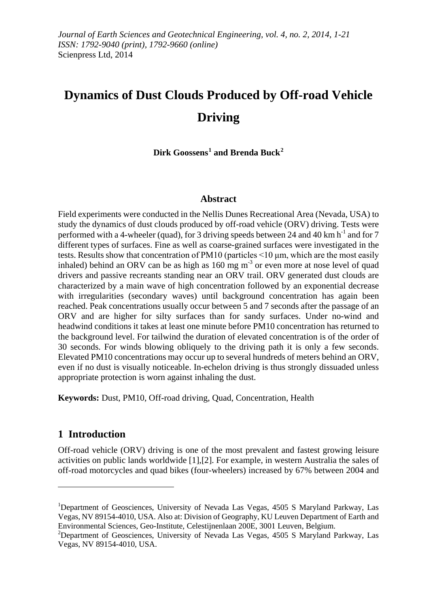# **Dynamics of Dust Clouds Produced by Off-road Vehicle Driving**

**Dirk Goossens[1](#page-0-0) and Brenda Buck[2](#page-0-1)**

## **Abstract**

Field experiments were conducted in the Nellis Dunes Recreational Area (Nevada, USA) to study the dynamics of dust clouds produced by off-road vehicle (ORV) driving. Tests were performed with a 4-wheeler (quad), for 3 driving speeds between 24 and 40 km  $h^{-1}$  and for 7 different types of surfaces. Fine as well as coarse-grained surfaces were investigated in the tests. Results show that concentration of PM10 (particles <10 μm, which are the most easily inhaled) behind an ORV can be as high as  $160 \text{ mg m}^3$  or even more at nose level of quad drivers and passive recreants standing near an ORV trail. ORV generated dust clouds are characterized by a main wave of high concentration followed by an exponential decrease with irregularities (secondary waves) until background concentration has again been reached. Peak concentrations usually occur between 5 and 7 seconds after the passage of an ORV and are higher for silty surfaces than for sandy surfaces. Under no-wind and headwind conditions it takes at least one minute before PM10 concentration has returned to the background level. For tailwind the duration of elevated concentration is of the order of 30 seconds. For winds blowing obliquely to the driving path it is only a few seconds. Elevated PM10 concentrations may occur up to several hundreds of meters behind an ORV, even if no dust is visually noticeable. In-echelon driving is thus strongly dissuaded unless appropriate protection is worn against inhaling the dust.

**Keywords:** Dust, PM10, Off-road driving, Quad, Concentration, Health

# **1 Introduction**

<u>.</u>

Off-road vehicle (ORV) driving is one of the most prevalent and fastest growing leisure activities on public lands worldwide [1],[2]. For example, in western Australia the sales of off-road motorcycles and quad bikes (four-wheelers) increased by 67% between 2004 and

<span id="page-0-0"></span><sup>&</sup>lt;sup>1</sup>Department of Geosciences, University of Nevada Las Vegas, 4505 S Maryland Parkway, Las Vegas, NV 89154-4010, USA. Also at: Division of Geography, KU Leuven Department of Earth and Environmental Sciences, Geo-Institute, Celestijnenlaan 200E, 3001 Leuven, Belgium. <sup>2</sup>

<span id="page-0-1"></span> $\textdegree$ Department of Geosciences, University of Nevada Las Vegas, 4505 S Maryland Parkway, Las Vegas, NV 89154-4010, USA.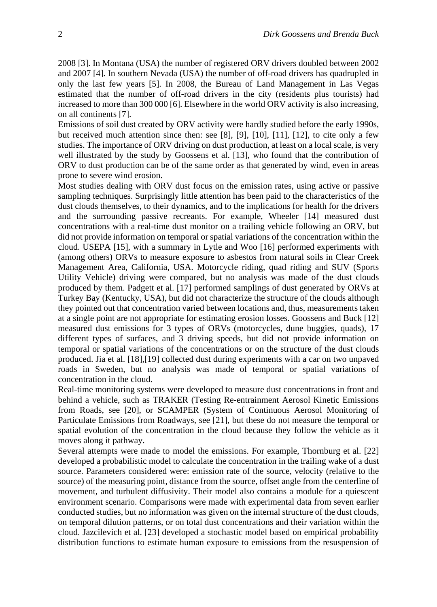2008 [3]. In Montana (USA) the number of registered ORV drivers doubled between 2002 and 2007 [4]. In southern Nevada (USA) the number of off-road drivers has quadrupled in only the last few years [5]. In 2008, the Bureau of Land Management in Las Vegas estimated that the number of off-road drivers in the city (residents plus tourists) had increased to more than 300 000 [6]. Elsewhere in the world ORV activity is also increasing, on all continents [7].

Emissions of soil dust created by ORV activity were hardly studied before the early 1990s, but received much attention since then: see [8], [9], [10], [11], [12], to cite only a few studies. The importance of ORV driving on dust production, at least on a local scale, is very well illustrated by the study by Goossens et al. [13], who found that the contribution of ORV to dust production can be of the same order as that generated by wind, even in areas prone to severe wind erosion.

Most studies dealing with ORV dust focus on the emission rates, using active or passive sampling techniques. Surprisingly little attention has been paid to the characteristics of the dust clouds themselves, to their dynamics, and to the implications for health for the drivers and the surrounding passive recreants. For example, Wheeler [14] measured dust concentrations with a real-time dust monitor on a trailing vehicle following an ORV, but did not provide information on temporal or spatial variations of the concentration within the cloud. USEPA [15], with a summary in Lytle and Woo [16] performed experiments with (among others) ORVs to measure exposure to asbestos from natural soils in Clear Creek Management Area, California, USA. Motorcycle riding, quad riding and SUV (Sports Utility Vehicle) driving were compared, but no analysis was made of the dust clouds produced by them. Padgett et al. [17] performed samplings of dust generated by ORVs at Turkey Bay (Kentucky, USA), but did not characterize the structure of the clouds although they pointed out that concentration varied between locations and, thus, measurements taken at a single point are not appropriate for estimating erosion losses. Goossens and Buck [12] measured dust emissions for 3 types of ORVs (motorcycles, dune buggies, quads), 17 different types of surfaces, and 3 driving speeds, but did not provide information on temporal or spatial variations of the concentrations or on the structure of the dust clouds produced. Jia et al. [18],[19] collected dust during experiments with a car on two unpaved roads in Sweden, but no analysis was made of temporal or spatial variations of concentration in the cloud.

Real-time monitoring systems were developed to measure dust concentrations in front and behind a vehicle, such as TRAKER (Testing Re-entrainment Aerosol Kinetic Emissions from Roads, see [20], or SCAMPER (System of Continuous Aerosol Monitoring of Particulate Emissions from Roadways, see [21], but these do not measure the temporal or spatial evolution of the concentration in the cloud because they follow the vehicle as it moves along it pathway.

Several attempts were made to model the emissions. For example, Thornburg et al. [22] developed a probabilistic model to calculate the concentration in the trailing wake of a dust source. Parameters considered were: emission rate of the source, velocity (relative to the source) of the measuring point, distance from the source, offset angle from the centerline of movement, and turbulent diffusivity. Their model also contains a module for a quiescent environment scenario. Comparisons were made with experimental data from seven earlier conducted studies, but no information was given on the internal structure of the dust clouds, on temporal dilution patterns, or on total dust concentrations and their variation within the cloud. Jazcilevich et al. [23] developed a stochastic model based on empirical probability distribution functions to estimate human exposure to emissions from the resuspension of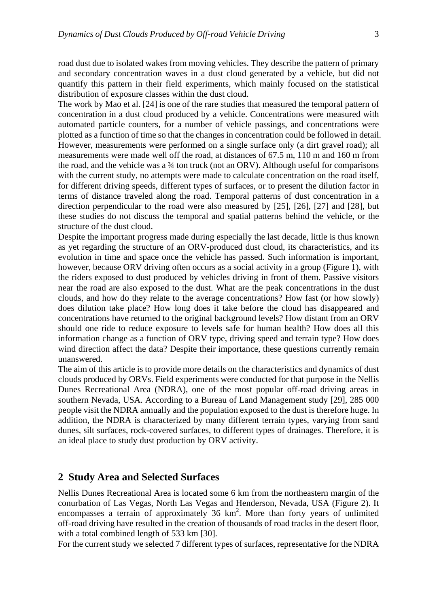road dust due to isolated wakes from moving vehicles. They describe the pattern of primary and secondary concentration waves in a dust cloud generated by a vehicle, but did not quantify this pattern in their field experiments, which mainly focused on the statistical distribution of exposure classes within the dust cloud.

The work by Mao et al. [24] is one of the rare studies that measured the temporal pattern of concentration in a dust cloud produced by a vehicle. Concentrations were measured with automated particle counters, for a number of vehicle passings, and concentrations were plotted as a function of time so that the changes in concentration could be followed in detail. However, measurements were performed on a single surface only (a dirt gravel road); all measurements were made well off the road, at distances of 67.5 m, 110 m and 160 m from the road, and the vehicle was a  $\frac{3}{4}$  ton truck (not an ORV). Although useful for comparisons with the current study, no attempts were made to calculate concentration on the road itself, for different driving speeds, different types of surfaces, or to present the dilution factor in terms of distance traveled along the road. Temporal patterns of dust concentration in a direction perpendicular to the road were also measured by [25], [26], [27] and [28], but these studies do not discuss the temporal and spatial patterns behind the vehicle, or the structure of the dust cloud.

Despite the important progress made during especially the last decade, little is thus known as yet regarding the structure of an ORV-produced dust cloud, its characteristics, and its evolution in time and space once the vehicle has passed. Such information is important, however, because ORV driving often occurs as a social activity in a group (Figure 1), with the riders exposed to dust produced by vehicles driving in front of them. Passive visitors near the road are also exposed to the dust. What are the peak concentrations in the dust clouds, and how do they relate to the average concentrations? How fast (or how slowly) does dilution take place? How long does it take before the cloud has disappeared and concentrations have returned to the original background levels? How distant from an ORV should one ride to reduce exposure to levels safe for human health? How does all this information change as a function of ORV type, driving speed and terrain type? How does wind direction affect the data? Despite their importance, these questions currently remain unanswered.

The aim of this article is to provide more details on the characteristics and dynamics of dust clouds produced by ORVs. Field experiments were conducted for that purpose in the Nellis Dunes Recreational Area (NDRA), one of the most popular off-road driving areas in southern Nevada, USA. According to a Bureau of Land Management study [29], 285 000 people visit the NDRA annually and the population exposed to the dust is therefore huge. In addition, the NDRA is characterized by many different terrain types, varying from sand dunes, silt surfaces, rock-covered surfaces, to different types of drainages. Therefore, it is an ideal place to study dust production by ORV activity.

## **2 Study Area and Selected Surfaces**

Nellis Dunes Recreational Area is located some 6 km from the northeastern margin of the conurbation of Las Vegas, North Las Vegas and Henderson, Nevada, USA (Figure 2). It encompasses a terrain of approximately  $36 \text{ km}^2$ . More than forty years of unlimited off-road driving have resulted in the creation of thousands of road tracks in the desert floor, with a total combined length of 533 km [30].

For the current study we selected 7 different types of surfaces, representative for the NDRA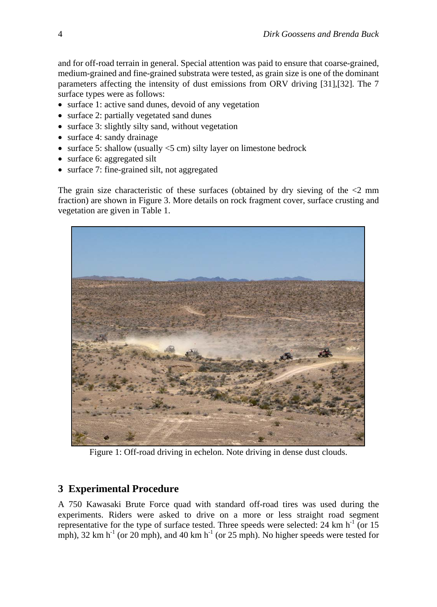and for off-road terrain in general. Special attention was paid to ensure that coarse-grained, medium-grained and fine-grained substrata were tested, as grain size is one of the dominant parameters affecting the intensity of dust emissions from ORV driving [31],[32]. The 7 surface types were as follows:

- surface 1: active sand dunes, devoid of any vegetation
- surface 2: partially vegetated sand dunes
- surface 3: slightly silty sand, without vegetation
- surface 4: sandy drainage
- surface 5: shallow (usually  $\le$ 5 cm) silty layer on limestone bedrock
- surface 6: aggregated silt
- surface 7: fine-grained silt, not aggregated

The grain size characteristic of these surfaces (obtained by dry sieving of the  $\leq$ 2 mm fraction) are shown in Figure 3. More details on rock fragment cover, surface crusting and vegetation are given in Table 1.



Figure 1: Off-road driving in echelon. Note driving in dense dust clouds.

# **3 Experimental Procedure**

A 750 Kawasaki Brute Force quad with standard off-road tires was used during the experiments. Riders were asked to drive on a more or less straight road segment representative for the type of surface tested. Three speeds were selected:  $24 \text{ km h}^{-1}$  (or 15 mph), 32 km h<sup>-1</sup> (or 20 mph), and 40 km h<sup>-1</sup> (or 25 mph). No higher speeds were tested for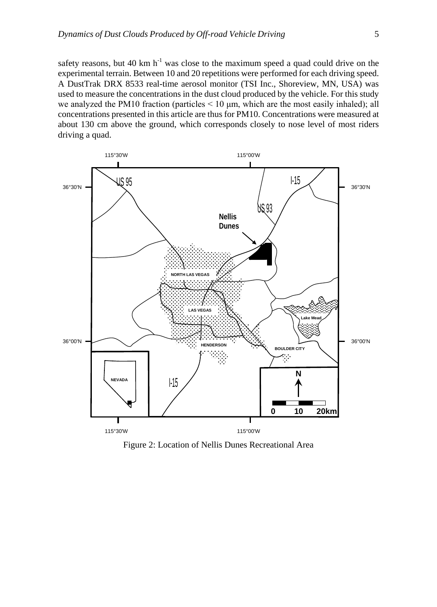safety reasons, but 40 km  $h^{-1}$  was close to the maximum speed a quad could drive on the experimental terrain. Between 10 and 20 repetitions were performed for each driving speed. A DustTrak DRX 8533 real-time aerosol monitor (TSI Inc., Shoreview, MN, USA) was used to measure the concentrations in the dust cloud produced by the vehicle. For this study we analyzed the PM10 fraction (particles < 10 μm, which are the most easily inhaled); all concentrations presented in this article are thus for PM10. Concentrations were measured at about 130 cm above the ground, which corresponds closely to nose level of most riders driving a quad.



Figure 2: Location of Nellis Dunes Recreational Area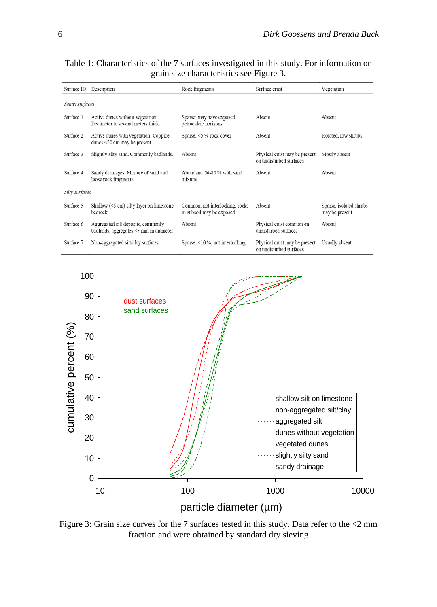| Surface ID     | Description                                                                  | Rock fragments                                               | Surface crust                                            | Vegetation                                |
|----------------|------------------------------------------------------------------------------|--------------------------------------------------------------|----------------------------------------------------------|-------------------------------------------|
| Sandy surfaces |                                                                              |                                                              |                                                          |                                           |
| Surface 1      | Active dunes without vegetation.<br>Decimeter to several meters thick.       | Sparse; may have exposed<br>petrocalcic horizons             | Absent                                                   | Absent                                    |
| Surface 2      | Active dunes with vegetation. Coppice<br>dunes $<$ 50 cm may be present.     | Sparse, <5 % rock cover                                      | Absent                                                   | Isolated, low shrubs                      |
| Surface 3      | Slightly silty sand. Commonly badlands.                                      | Absent                                                       | Physical crust may be present<br>on undisturbed surfaces | Mostly absent                             |
| Surface 4      | Sandy drainages. Mixture of sand and<br>loose rock fragments.                | Abundant: 50-80 % with sand<br>mixture                       | Absent                                                   | Absent                                    |
| Silty surfaces |                                                                              |                                                              |                                                          |                                           |
| Surface 5      | Shallow $(5 \text{ cm})$ silty layer on limestone<br>bedrock                 | Common, not interlocking, rocks<br>in subsoil may be exposed | Absent                                                   | Sparse, isolated shrubs<br>may be present |
| Surface 6      | Aggregated silt deposits, commonly<br>badlands, aggregates <5 mm in diameter | Absent                                                       | Physical crust common on<br>undisturbed surfaces         | Absent                                    |
| Surface 7      | Non-aggregated silt/clay surfaces                                            | Sparse, $\leq 10$ %, not interlocking                        | Physical crust may be present<br>on undisturbed surfaces | Usually absent                            |

Table 1: Characteristics of the 7 surfaces investigated in this study. For information on grain size characteristics see Figure 3.



Figure 3: Grain size curves for the 7 surfaces tested in this study. Data refer to the <2 mm fraction and were obtained by standard dry sieving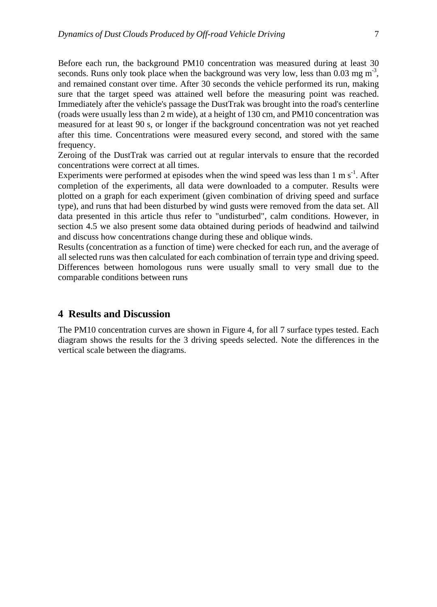Before each run, the background PM10 concentration was measured during at least 30 seconds. Runs only took place when the background was very low, less than  $0.03 \text{ mg m}^3$ , and remained constant over time. After 30 seconds the vehicle performed its run, making sure that the target speed was attained well before the measuring point was reached. Immediately after the vehicle's passage the DustTrak was brought into the road's centerline (roads were usually less than 2 m wide), at a height of 130 cm, and PM10 concentration was measured for at least 90 s, or longer if the background concentration was not yet reached after this time. Concentrations were measured every second, and stored with the same frequency.

Zeroing of the DustTrak was carried out at regular intervals to ensure that the recorded concentrations were correct at all times.

Experiments were performed at episodes when the wind speed was less than  $1 \text{ m s}^{-1}$ . After completion of the experiments, all data were downloaded to a computer. Results were plotted on a graph for each experiment (given combination of driving speed and surface type), and runs that had been disturbed by wind gusts were removed from the data set. All data presented in this article thus refer to "undisturbed", calm conditions. However, in section 4.5 we also present some data obtained during periods of headwind and tailwind and discuss how concentrations change during these and oblique winds.

Results (concentration as a function of time) were checked for each run, and the average of all selected runs was then calculated for each combination of terrain type and driving speed. Differences between homologous runs were usually small to very small due to the comparable conditions between runs

## **4 Results and Discussion**

The PM10 concentration curves are shown in Figure 4, for all 7 surface types tested. Each diagram shows the results for the 3 driving speeds selected. Note the differences in the vertical scale between the diagrams.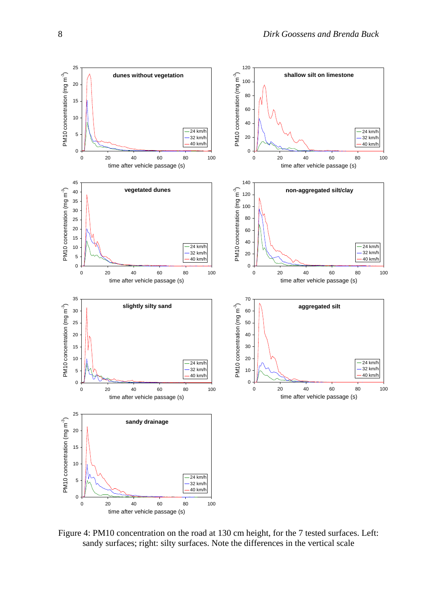

Figure 4: PM10 concentration on the road at 130 cm height, for the 7 tested surfaces. Left: sandy surfaces; right: silty surfaces. Note the differences in the vertical scale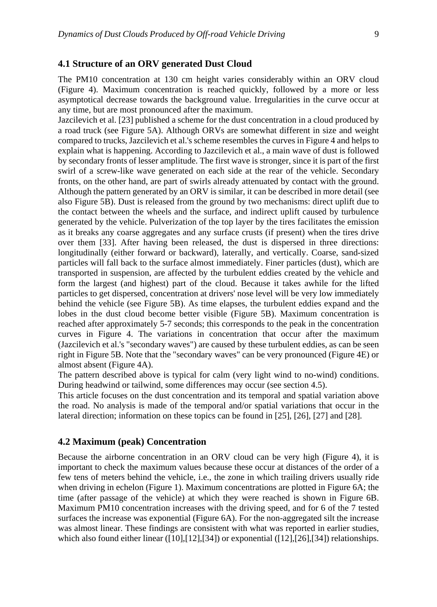#### **4.1 Structure of an ORV generated Dust Cloud**

The PM10 concentration at 130 cm height varies considerably within an ORV cloud (Figure 4). Maximum concentration is reached quickly, followed by a more or less asymptotical decrease towards the background value. Irregularities in the curve occur at any time, but are most pronounced after the maximum.

Jazcilevich et al. [23] published a scheme for the dust concentration in a cloud produced by a road truck (see Figure 5A). Although ORVs are somewhat different in size and weight compared to trucks, Jazcilevich et al.'s scheme resembles the curves in Figure 4 and helps to explain what is happening. According to Jazcilevich et al., a main wave of dust is followed by secondary fronts of lesser amplitude. The first wave is stronger, since it is part of the first swirl of a screw-like wave generated on each side at the rear of the vehicle. Secondary fronts, on the other hand, are part of swirls already attenuated by contact with the ground. Although the pattern generated by an ORV is similar, it can be described in more detail (see also Figure 5B). Dust is released from the ground by two mechanisms: direct uplift due to the contact between the wheels and the surface, and indirect uplift caused by turbulence generated by the vehicle. Pulverization of the top layer by the tires facilitates the emission as it breaks any coarse aggregates and any surface crusts (if present) when the tires drive over them [33]. After having been released, the dust is dispersed in three directions: longitudinally (either forward or backward), laterally, and vertically. Coarse, sand-sized particles will fall back to the surface almost immediately. Finer particles (dust), which are transported in suspension, are affected by the turbulent eddies created by the vehicle and form the largest (and highest) part of the cloud. Because it takes awhile for the lifted particles to get dispersed, concentration at drivers' nose level will be very low immediately behind the vehicle (see Figure 5B). As time elapses, the turbulent eddies expand and the lobes in the dust cloud become better visible (Figure 5B). Maximum concentration is reached after approximately 5-7 seconds; this corresponds to the peak in the concentration curves in Figure 4. The variations in concentration that occur after the maximum (Jazcilevich et al.'s "secondary waves") are caused by these turbulent eddies, as can be seen right in Figure 5B. Note that the "secondary waves" can be very pronounced (Figure 4E) or almost absent (Figure 4A).

The pattern described above is typical for calm (very light wind to no-wind) conditions. During headwind or tailwind, some differences may occur (see section 4.5).

This article focuses on the dust concentration and its temporal and spatial variation above the road. No analysis is made of the temporal and/or spatial variations that occur in the lateral direction; information on these topics can be found in [25], [26], [27] and [28].

#### **4.2 Maximum (peak) Concentration**

Because the airborne concentration in an ORV cloud can be very high (Figure 4), it is important to check the maximum values because these occur at distances of the order of a few tens of meters behind the vehicle, i.e., the zone in which trailing drivers usually ride when driving in echelon (Figure 1). Maximum concentrations are plotted in Figure 6A; the time (after passage of the vehicle) at which they were reached is shown in Figure 6B. Maximum PM10 concentration increases with the driving speed, and for 6 of the 7 tested surfaces the increase was exponential (Figure 6A). For the non-aggregated silt the increase was almost linear. These findings are consistent with what was reported in earlier studies, which also found either linear  $([10],[12],[34])$  or exponential  $([12],[26],[34])$  relationships.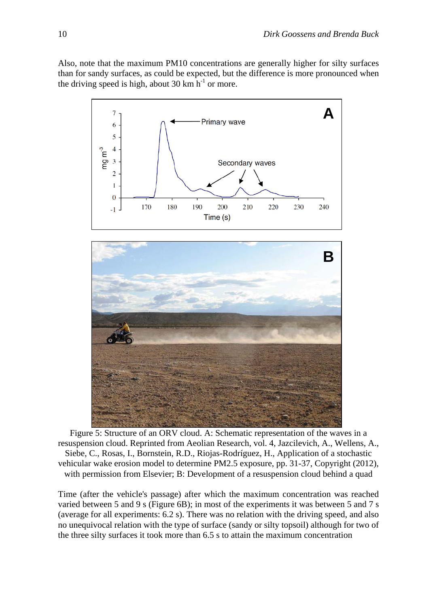Also, note that the maximum PM10 concentrations are generally higher for silty surfaces than for sandy surfaces, as could be expected, but the difference is more pronounced when the driving speed is high, about 30 km  $h^{-1}$  or more.



Figure 5: Structure of an ORV cloud. A: Schematic representation of the waves in a resuspension cloud. Reprinted from Aeolian Research, vol. 4, Jazcilevich, A., Wellens, A., Siebe, C., Rosas, I., Bornstein, R.D., Riojas-Rodríguez, H., Application of a stochastic vehicular wake erosion model to determine PM2.5 exposure, pp. 31-37, Copyright (2012), with permission from Elsevier; B: Development of a resuspension cloud behind a quad

Time (after the vehicle's passage) after which the maximum concentration was reached varied between 5 and 9 s (Figure 6B); in most of the experiments it was between 5 and 7 s (average for all experiments: 6.2 s). There was no relation with the driving speed, and also no unequivocal relation with the type of surface (sandy or silty topsoil) although for two of the three silty surfaces it took more than 6.5 s to attain the maximum concentration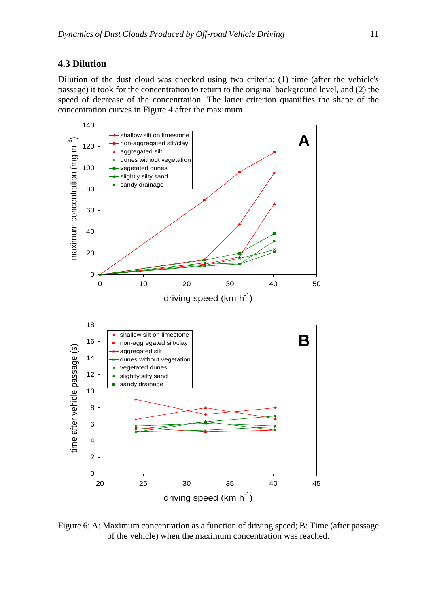## **4.3 Dilution**

Dilution of the dust cloud was checked using two criteria: (1) time (after the vehicle's passage) it took for the concentration to return to the original background level, and (2) the speed of decrease of the concentration. The latter criterion quantifies the shape of the concentration curves in Figure 4 after the maximum



Figure 6: A: Maximum concentration as a function of driving speed; B: Time (after passage of the vehicle) when the maximum concentration was reached.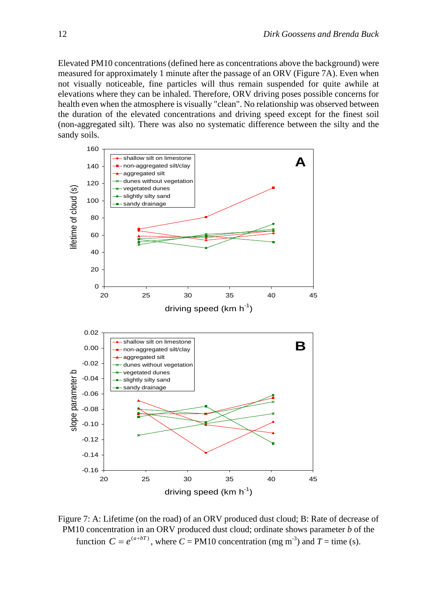Elevated PM10 concentrations (defined here as concentrations above the background) were measured for approximately 1 minute after the passage of an ORV (Figure 7A). Even when not visually noticeable, fine particles will thus remain suspended for quite awhile at elevations where they can be inhaled. Therefore, ORV driving poses possible concerns for health even when the atmosphere is visually "clean". No relationship was observed between the duration of the elevated concentrations and driving speed except for the finest soil (non-aggregated silt). There was also no systematic difference between the silty and the sandy soils.



Figure 7: A: Lifetime (on the road) of an ORV produced dust cloud; B: Rate of decrease of PM10 concentration in an ORV produced dust cloud; ordinate shows parameter *b* of the function  $C = e^{(a+bT)}$ , where  $C = PM10$  concentration (mg m<sup>-3</sup>) and  $T =$  time (s).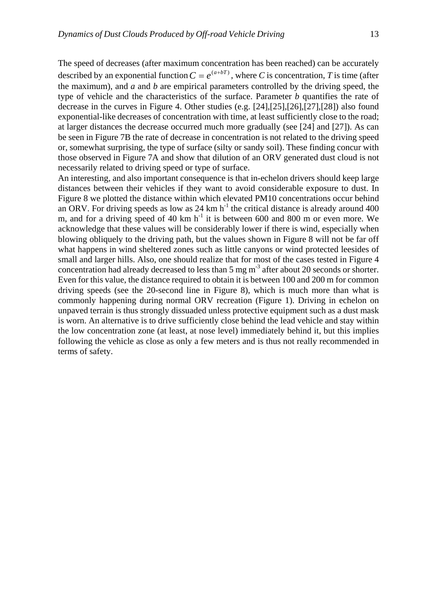The speed of decreases (after maximum concentration has been reached) can be accurately described by an exponential function  $C = e^{(a+bT)}$ , where *C* is concentration, *T* is time (after the maximum), and *a* and *b* are empirical parameters controlled by the driving speed, the type of vehicle and the characteristics of the surface. Parameter *b* quantifies the rate of decrease in the curves in Figure 4. Other studies (e.g. [24],[25],[26],[27],[28]) also found exponential-like decreases of concentration with time, at least sufficiently close to the road; at larger distances the decrease occurred much more gradually (see [24] and [27]). As can be seen in Figure 7B the rate of decrease in concentration is not related to the driving speed or, somewhat surprising, the type of surface (silty or sandy soil). These finding concur with those observed in Figure 7A and show that dilution of an ORV generated dust cloud is not necessarily related to driving speed or type of surface.

An interesting, and also important consequence is that in-echelon drivers should keep large distances between their vehicles if they want to avoid considerable exposure to dust. In Figure 8 we plotted the distance within which elevated PM10 concentrations occur behind an ORV. For driving speeds as low as 24 km  $h^{-1}$  the critical distance is already around 400 m, and for a driving speed of 40 km  $h^{-1}$  it is between 600 and 800 m or even more. We acknowledge that these values will be considerably lower if there is wind, especially when blowing obliquely to the driving path, but the values shown in Figure 8 will not be far off what happens in wind sheltered zones such as little canyons or wind protected leesides of small and larger hills. Also, one should realize that for most of the cases tested in Figure 4 concentration had already decreased to less than  $5 \text{ mg m}^{-3}$  after about 20 seconds or shorter. Even for this value, the distance required to obtain it is between 100 and 200 m for common driving speeds (see the 20-second line in Figure 8), which is much more than what is commonly happening during normal ORV recreation (Figure 1). Driving in echelon on unpaved terrain is thus strongly dissuaded unless protective equipment such as a dust mask is worn. An alternative is to drive sufficiently close behind the lead vehicle and stay within the low concentration zone (at least, at nose level) immediately behind it, but this implies following the vehicle as close as only a few meters and is thus not really recommended in terms of safety.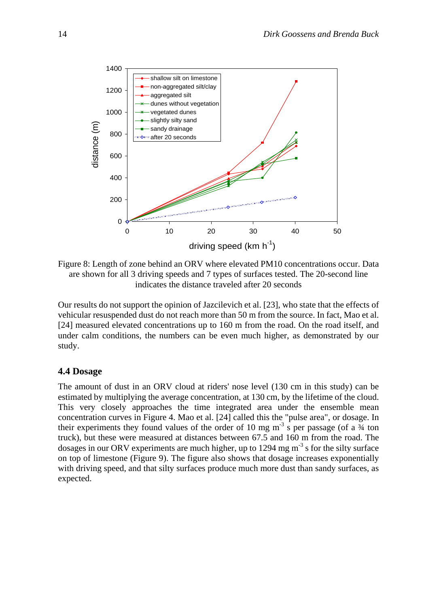

Figure 8: Length of zone behind an ORV where elevated PM10 concentrations occur. Data are shown for all 3 driving speeds and 7 types of surfaces tested. The 20-second line indicates the distance traveled after 20 seconds

Our results do not support the opinion of Jazcilevich et al. [23], who state that the effects of vehicular resuspended dust do not reach more than 50 m from the source. In fact, Mao et al. [24] measured elevated concentrations up to 160 m from the road. On the road itself, and under calm conditions, the numbers can be even much higher, as demonstrated by our study.

#### **4.4 Dosage**

The amount of dust in an ORV cloud at riders' nose level (130 cm in this study) can be estimated by multiplying the average concentration, at 130 cm, by the lifetime of the cloud. This very closely approaches the time integrated area under the ensemble mean concentration curves in Figure 4. Mao et al. [24] called this the "pulse area", or dosage. In their experiments they found values of the order of 10 mg  $m<sup>-3</sup>$  s per passage (of a  $\frac{3}{4}$  ton truck), but these were measured at distances between 67.5 and 160 m from the road. The dosages in our ORV experiments are much higher, up to 1294 mg  $m<sup>3</sup>$  s for the silty surface on top of limestone (Figure 9). The figure also shows that dosage increases exponentially with driving speed, and that silty surfaces produce much more dust than sandy surfaces, as expected.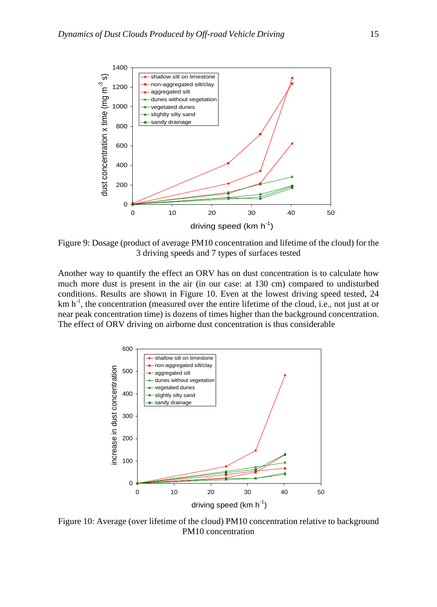

Figure 9: Dosage (product of average PM10 concentration and lifetime of the cloud) for the 3 driving speeds and 7 types of surfaces tested

Another way to quantify the effect an ORV has on dust concentration is to calculate how much more dust is present in the air (in our case: at 130 cm) compared to undisturbed conditions. Results are shown in Figure 10. Even at the lowest driving speed tested, 24 km h<sup>-1</sup>, the concentration (measured over the entire lifetime of the cloud, i.e., not just at or near peak concentration time) is dozens of times higher than the background concentration. The effect of ORV driving on airborne dust concentration is thus considerable



Figure 10: Average (over lifetime of the cloud) PM10 concentration relative to background PM10 concentration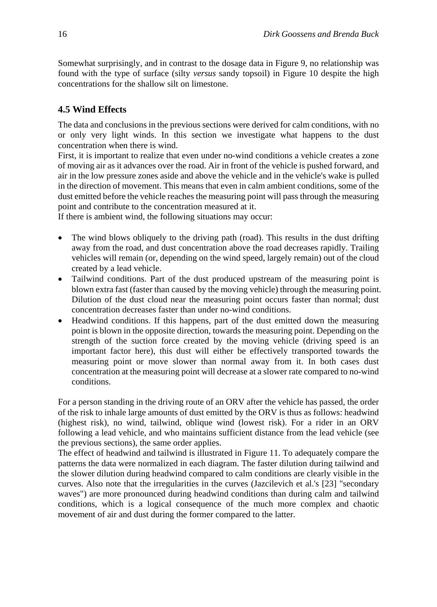Somewhat surprisingly, and in contrast to the dosage data in Figure 9, no relationship was found with the type of surface (silty *versus* sandy topsoil) in Figure 10 despite the high concentrations for the shallow silt on limestone.

# **4.5 Wind Effects**

The data and conclusions in the previous sections were derived for calm conditions, with no or only very light winds. In this section we investigate what happens to the dust concentration when there is wind.

First, it is important to realize that even under no-wind conditions a vehicle creates a zone of moving air as it advances over the road. Air in front of the vehicle is pushed forward, and air in the low pressure zones aside and above the vehicle and in the vehicle's wake is pulled in the direction of movement. This means that even in calm ambient conditions, some of the dust emitted before the vehicle reaches the measuring point will pass through the measuring point and contribute to the concentration measured at it.

If there is ambient wind, the following situations may occur:

- The wind blows obliquely to the driving path (road). This results in the dust drifting away from the road, and dust concentration above the road decreases rapidly. Trailing vehicles will remain (or, depending on the wind speed, largely remain) out of the cloud created by a lead vehicle.
- Tailwind conditions. Part of the dust produced upstream of the measuring point is blown extra fast (faster than caused by the moving vehicle) through the measuring point. Dilution of the dust cloud near the measuring point occurs faster than normal; dust concentration decreases faster than under no-wind conditions.
- Headwind conditions. If this happens, part of the dust emitted down the measuring point is blown in the opposite direction, towards the measuring point. Depending on the strength of the suction force created by the moving vehicle (driving speed is an important factor here), this dust will either be effectively transported towards the measuring point or move slower than normal away from it. In both cases dust concentration at the measuring point will decrease at a slower rate compared to no-wind conditions.

For a person standing in the driving route of an ORV after the vehicle has passed, the order of the risk to inhale large amounts of dust emitted by the ORV is thus as follows: headwind (highest risk), no wind, tailwind, oblique wind (lowest risk). For a rider in an ORV following a lead vehicle, and who maintains sufficient distance from the lead vehicle (see the previous sections), the same order applies.

The effect of headwind and tailwind is illustrated in Figure 11. To adequately compare the patterns the data were normalized in each diagram. The faster dilution during tailwind and the slower dilution during headwind compared to calm conditions are clearly visible in the curves. Also note that the irregularities in the curves (Jazcilevich et al.'s [23] "secondary waves") are more pronounced during headwind conditions than during calm and tailwind conditions, which is a logical consequence of the much more complex and chaotic movement of air and dust during the former compared to the latter.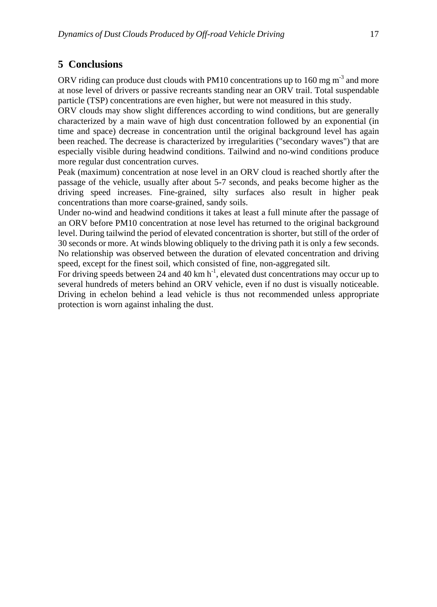# **5 Conclusions**

ORV riding can produce dust clouds with PM10 concentrations up to 160 mg  $m<sup>3</sup>$  and more at nose level of drivers or passive recreants standing near an ORV trail. Total suspendable particle (TSP) concentrations are even higher, but were not measured in this study.

ORV clouds may show slight differences according to wind conditions, but are generally characterized by a main wave of high dust concentration followed by an exponential (in time and space) decrease in concentration until the original background level has again been reached. The decrease is characterized by irregularities ("secondary waves") that are especially visible during headwind conditions. Tailwind and no-wind conditions produce more regular dust concentration curves.

Peak (maximum) concentration at nose level in an ORV cloud is reached shortly after the passage of the vehicle, usually after about 5-7 seconds, and peaks become higher as the driving speed increases. Fine-grained, silty surfaces also result in higher peak concentrations than more coarse-grained, sandy soils.

Under no-wind and headwind conditions it takes at least a full minute after the passage of an ORV before PM10 concentration at nose level has returned to the original background level. During tailwind the period of elevated concentration is shorter, but still of the order of 30 seconds or more. At winds blowing obliquely to the driving path it is only a few seconds. No relationship was observed between the duration of elevated concentration and driving speed, except for the finest soil, which consisted of fine, non-aggregated silt.

For driving speeds between 24 and 40 km  $h^{-1}$ , elevated dust concentrations may occur up to several hundreds of meters behind an ORV vehicle, even if no dust is visually noticeable. Driving in echelon behind a lead vehicle is thus not recommended unless appropriate protection is worn against inhaling the dust.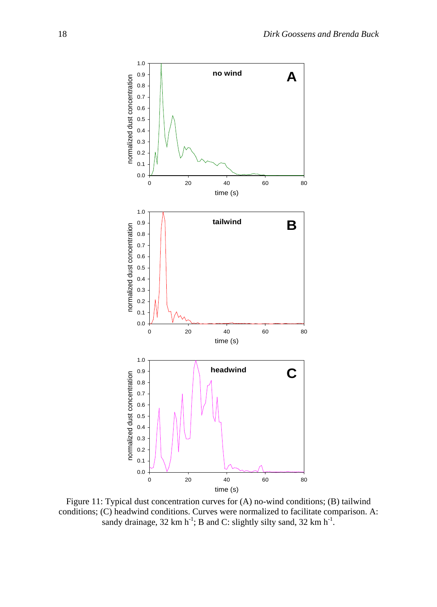

Figure 11: Typical dust concentration curves for (A) no-wind conditions; (B) tailwind conditions; (C) headwind conditions. Curves were normalized to facilitate comparison. A: sandy drainage,  $32 \text{ km h}^{-1}$ ; B and C: slightly silty sand,  $32 \text{ km h}^{-1}$ .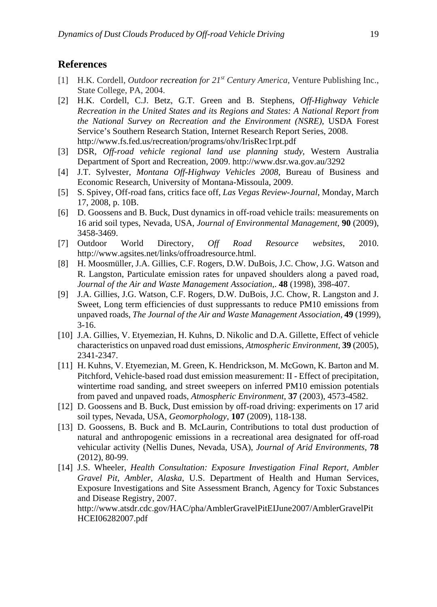## **References**

- [1] H.K. Cordell, *Outdoor recreation for 21st Century America*, Venture Publishing Inc., State College, PA, 2004.
- [2] H.K. Cordell, C.J. Betz, G.T. Green and B. Stephens, *Off-Highway Vehicle Recreation in the United States and its Regions and States: A National Report from the National Survey on Recreation and the Environment (NSRE)*, USDA Forest Service's Southern Research Station, Internet Research Report Series, 2008. http://www.fs.fed.us/recreation/programs/ohv/IrisRec1rpt.pdf
- [3] DSR, *Off-road vehicle regional land use planning study*, Western Australia Department of Sport and Recreation, 2009. http://www.dsr.wa.gov.au/3292
- [4] J.T. Sylvester, *Montana Off-Highway Vehicles 2008*, Bureau of Business and Economic Research, University of Montana-Missoula, 2009.
- [5] S. Spivey, Off-road fans, critics face off, *Las Vegas Review-Journal*, Monday, March 17, 2008, p. 10B.
- [6] D. Goossens and B. Buck, Dust dynamics in off-road vehicle trails: measurements on 16 arid soil types, Nevada, USA, *Journal of Environmental Management*, **90** (2009), 3458-3469.
- [7] Outdoor World Directory, *Off Road Resource websites*, 2010. http://www.agsites.net/links/offroadresource.html.
- [8] H. Moosmüller, J.A. Gillies, C.F. Rogers, D.W. DuBois, J.C. Chow, J.G. Watson and R. Langston, Particulate emission rates for unpaved shoulders along a paved road, *Journal of the Air and Waste Management Association*,. **48** (1998), 398-407.
- [9] J.A. Gillies, J.G. Watson, C.F. Rogers, D.W. DuBois, J.C. Chow, R. Langston and J. Sweet, Long term efficiencies of dust suppressants to reduce PM10 emissions from unpaved roads, *The Journal of the Air and Waste Management Association*, **49** (1999),  $3-16.$
- [10] J.A. Gillies, V. Etyemezian, H. Kuhns, D. Nikolic and D.A. Gillette, Effect of vehicle characteristics on unpaved road dust emissions, *Atmospheric Environment*, **39** (2005), 2341-2347.
- [11] H. Kuhns, V. Etyemezian, M. Green, K. Hendrickson, M. McGown, K. Barton and M. Pitchford, Vehicle-based road dust emission measurement: II - Effect of precipitation, wintertime road sanding, and street sweepers on inferred PM10 emission potentials from paved and unpaved roads, *Atmospheric Environment*, **37** (2003), 4573-4582.
- [12] D. Goossens and B. Buck, Dust emission by off-road driving: experiments on 17 arid soil types, Nevada, USA, *Geomorphology*, **107** (2009), 118-138.
- [13] D. Goossens, B. Buck and B. McLaurin, Contributions to total dust production of natural and anthropogenic emissions in a recreational area designated for off-road vehicular activity (Nellis Dunes, Nevada, USA), *Journal of Arid Environments*, **78** (2012), 80-99.
- [14] J.S. Wheeler, *Health Consultation: Exposure Investigation Final Report, Ambler Gravel Pit, Ambler, Alaska*, U.S. Department of Health and Human Services, Exposure Investigations and Site Assessment Branch, Agency for Toxic Substances and Disease Registry, 2007.

http://www.atsdr.cdc.gov/HAC/pha/AmblerGravelPitEIJune2007/AmblerGravelPit HCEI06282007.pdf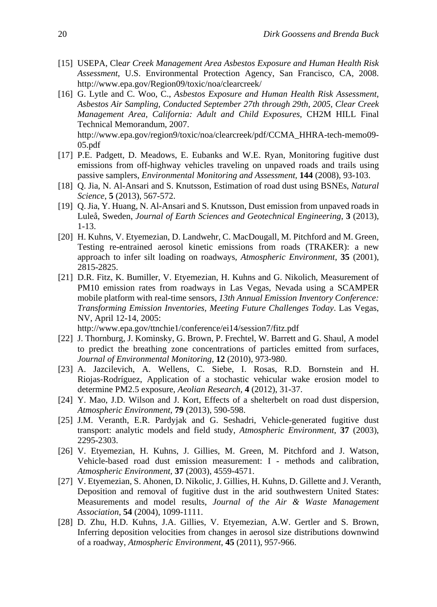- [15] USEPA, Cle*ar Creek Management Area Asbestos Exposure and Human Health Risk Assessment*, U.S. Environmental Protection Agency, San Francisco, CA, 2008. http://www.epa.gov/Region09/toxic/noa/clearcreek/
- [16] G. Lytle and C. Woo, C., *Asbestos Exposure and Human Health Risk Assessment, Asbestos Air Sampling, Conducted September 27th through 29th, 2005, Clear Creek Management Area, California: Adult and Child Exposures*, CH2M HILL Final Technical Memorandum, 2007. http://www.epa.gov/region9/toxic/noa/clearcreek/pdf/CCMA\_HHRA-tech-memo09- 05.pdf
- [17] P.E. Padgett, D. Meadows, E. Eubanks and W.E. Ryan, Monitoring fugitive dust emissions from off-highway vehicles traveling on unpaved roads and trails using passive samplers, *Environmental Monitoring and Assessment,* **144** (2008), 93-103.
- [18] Q. Jia, N. Al-Ansari and S. Knutsson, Estimation of road dust using BSNEs, *Natural Science*, **5** (2013), 567-572.
- [19] Q. Jia, Y. Huang, N. Al-Ansari and S. Knutsson, Dust emission from unpaved roads in Luleå, Sweden, *Journal of Earth Sciences and Geotechnical Engineering*, **3** (2013), 1-13.
- [20] H. Kuhns, V. Etyemezian, D. Landwehr, C. MacDougall, M. Pitchford and M. Green, Testing re-entrained aerosol kinetic emissions from roads (TRAKER): a new approach to infer silt loading on roadways, *Atmospheric Environment*, **35** (2001), 2815-2825.
- [21] D.R. Fitz, K. Bumiller, V. Etyemezian, H. Kuhns and G. Nikolich, Measurement of PM10 emission rates from roadways in Las Vegas, Nevada using a SCAMPER mobile platform with real-time sensors, *13th Annual Emission Inventory Conference: Transforming Emission Inventories, Meeting Future Challenges Today*. Las Vegas, NV, April 12-14, 2005:

http://www.epa.gov/ttnchie1/conference/ei14/session7/fitz.pdf

- [22] J. Thornburg, J. Kominsky, G. Brown, P. Frechtel, W. Barrett and G. Shaul, A model to predict the breathing zone concentrations of particles emitted from surfaces, *Journal of Environmental Monitoring*, **12** (2010), 973-980.
- [23] A. Jazcilevich, A. Wellens, C. Siebe, I. Rosas, R.D. Bornstein and H. Riojas-Rodríguez, Application of a stochastic vehicular wake erosion model to determine PM2.5 exposure, *Aeolian Research*, **4** (2012), 31-37.
- [24] Y. Mao, J.D. Wilson and J. Kort, Effects of a shelterbelt on road dust dispersion, *Atmospheric Environment*, **79** (2013), 590-598.
- [25] J.M. Veranth, E.R. Pardyjak and G. Seshadri, Vehicle-generated fugitive dust transport: analytic models and field study, *Atmospheric Environment*, **37** (2003), 2295-2303.
- [26] V. Etyemezian, H. Kuhns, J. Gillies, M. Green, M. Pitchford and J. Watson, Vehicle-based road dust emission measurement: I - methods and calibration, *Atmospheric Environment*, **37** (2003), 4559-4571.
- [27] V. Etyemezian, S. Ahonen, D. Nikolic, J. Gillies, H. Kuhns, D. Gillette and J. Veranth, Deposition and removal of fugitive dust in the arid southwestern United States: Measurements and model results, *Journal of the Air & Waste Management Association*, **54** (2004), 1099-1111.
- [28] D. Zhu, H.D. Kuhns, J.A. Gillies, V. Etyemezian, A.W. Gertler and S. Brown, Inferring deposition velocities from changes in aerosol size distributions downwind of a roadway, *Atmospheric Environment*, **45** (2011), 957-966.